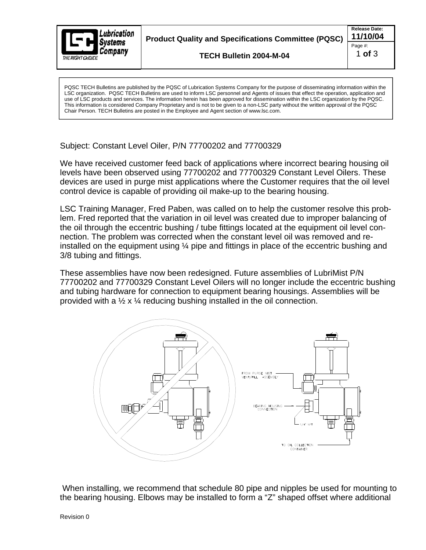

PQSC TECH Bulletins are published by the PQSC of Lubrication Systems Company for the purpose of disseminating information within the LSC organization. PQSC TECH Bulletins are used to inform LSC personnel and Agents of issues that effect the operation, application and use of LSC products and services. The information herein has been approved for dissemination within the LSC organization by the PQSC. This information is considered Company Proprietary and is not to be given to a non-LSC party without the written approval of the PQSC Chair Person. TECH Bulletins are posted in the Employee and Agent section of www.lsc.com.

Subject: Constant Level Oiler, P/N 77700202 and 77700329

We have received customer feed back of applications where incorrect bearing housing oil levels have been observed using 77700202 and 77700329 Constant Level Oilers. These devices are used in purge mist applications where the Customer requires that the oil level control device is capable of providing oil make-up to the bearing housing.

LSC Training Manager, Fred Paben, was called on to help the customer resolve this problem. Fred reported that the variation in oil level was created due to improper balancing of the oil through the eccentric bushing / tube fittings located at the equipment oil level con nection. The problem was corrected when the constant level oil was removed and reinstalled on the equipment using ¼ pipe and fittings in place of the eccentric bushing and 3/8 tubing and fittings.

These assemblies have now been redesigned. Future assemblies of LubriMist P/N 77700202 and 77700329 Constant Level Oilers will no longer include the eccentric bushing and tubing hardware for connection to equipment bearing housings. Assemblies will be provided with a  $\frac{1}{2} \times \frac{1}{4}$  reducing bushing installed in the oil connection.



When installing, we recommend that schedule 80 pipe and nipples be used for mounting to the bearing housing. Elbows may be installed to form a "Z" shaped offset where additional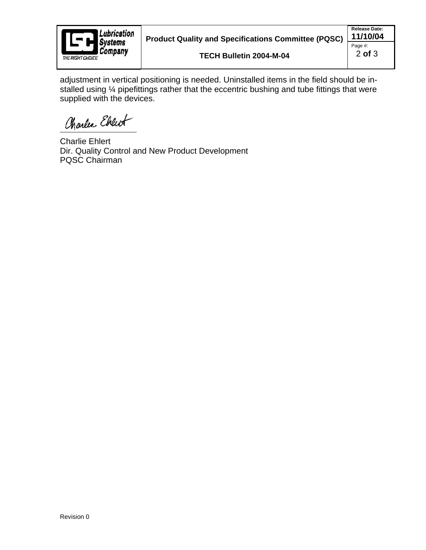

adjustment in vertical positioning is needed. Uninstalled items in the field should be in stalled using ¼ pipefittings rather that the eccentric bushing and tube fittings that were supplied with the devices.

Charles Ebreut

Charlie Ehlert Dir. Quality Control and New Product Development PQSC Chairman